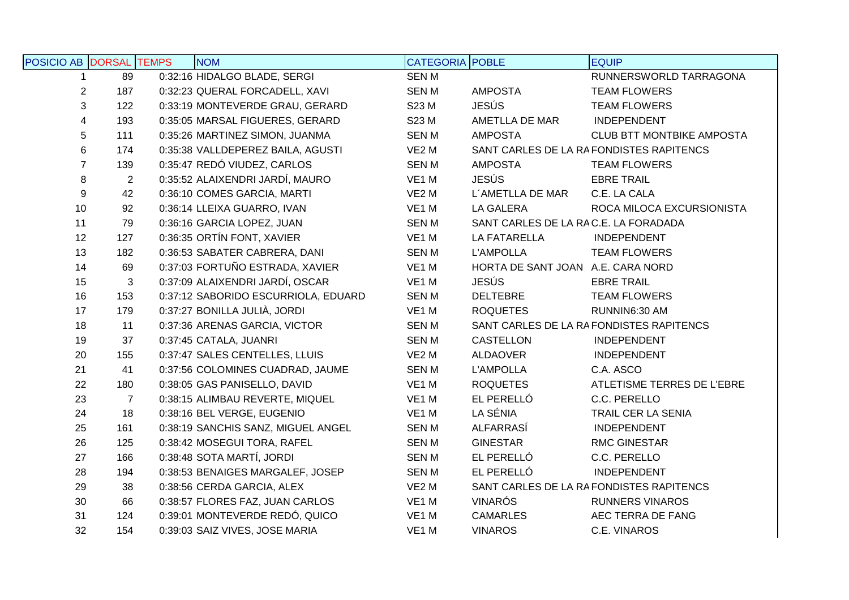| POSICIO AB DORSAL TEMPS |                | <b>NOM</b>                          | <b>CATEGORIA</b> POBLE |                                      | <b>EQUIP</b>                            |
|-------------------------|----------------|-------------------------------------|------------------------|--------------------------------------|-----------------------------------------|
| $\mathbf 1$             | 89             | 0:32:16 HIDALGO BLADE, SERGI        | <b>SENM</b>            |                                      | RUNNERSWORLD TARRAGONA                  |
| $\overline{2}$          | 187            | 0:32:23 QUERAL FORCADELL, XAVI      | <b>SENM</b>            | <b>AMPOSTA</b>                       | <b>TEAM FLOWERS</b>                     |
| $\sqrt{3}$              | 122            | 0:33:19 MONTEVERDE GRAU, GERARD     | S23 M                  | <b>JESÚS</b>                         | <b>TEAM FLOWERS</b>                     |
| 4                       | 193            | 0:35:05 MARSAL FIGUERES, GERARD     | S23 M                  | AMETLLA DE MAR                       | <b>INDEPENDENT</b>                      |
| $\sqrt{5}$              | 111            | 0:35:26 MARTINEZ SIMON, JUANMA      | <b>SENM</b>            | <b>AMPOSTA</b>                       | <b>CLUB BTT MONTBIKE AMPOSTA</b>        |
| $\,6$                   | 174            | 0:35:38 VALLDEPEREZ BAILA, AGUSTI   | VE <sub>2</sub> M      |                                      | SANT CARLES DE LA RAFONDISTES RAPITENCS |
| $\overline{7}$          | 139            | 0:35:47 REDÓ VIUDEZ, CARLOS         | <b>SENM</b>            | <b>AMPOSTA</b>                       | <b>TEAM FLOWERS</b>                     |
| 8                       | $\overline{c}$ | 0:35:52 ALAIXENDRI JARDÍ, MAURO     | VE1 M                  | <b>JESÚS</b>                         | <b>EBRE TRAIL</b>                       |
| $\boldsymbol{9}$        | 42             | 0:36:10 COMES GARCIA, MARTI         | VE <sub>2</sub> M      | L'AMETLLA DE MAR                     | C.E. LA CALA                            |
| 10                      | 92             | 0:36:14 LLEIXA GUARRO, IVAN         | VE1 M                  | LA GALERA                            | ROCA MILOCA EXCURSIONISTA               |
| 11                      | 79             | 0:36:16 GARCIA LOPEZ, JUAN          | <b>SENM</b>            | SANT CARLES DE LA RAC.E. LA FORADADA |                                         |
| 12                      | 127            | 0:36:35 ORTÍN FONT, XAVIER          | VE1 M                  | LA FATARELLA                         | <b>INDEPENDENT</b>                      |
| 13                      | 182            | 0:36:53 SABATER CABRERA, DANI       | <b>SENM</b>            | <b>L'AMPOLLA</b>                     | <b>TEAM FLOWERS</b>                     |
| 14                      | 69             | 0:37:03 FORTUÑO ESTRADA, XAVIER     | VE1 M                  | HORTA DE SANT JOAN A.E. CARA NORD    |                                         |
| 15                      | 3              | 0:37:09 ALAIXENDRI JARDÍ, OSCAR     | VE1 M                  | <b>JESÚS</b>                         | <b>EBRE TRAIL</b>                       |
| 16                      | 153            | 0:37:12 SABORIDO ESCURRIOLA, EDUARD | <b>SENM</b>            | <b>DELTEBRE</b>                      | <b>TEAM FLOWERS</b>                     |
| 17                      | 179            | 0:37:27 BONILLA JULIÀ, JORDI        | VE1 M                  | <b>ROQUETES</b>                      | RUNNIN6:30 AM                           |
| 18                      | 11             | 0:37:36 ARENAS GARCIA, VICTOR       | <b>SENM</b>            |                                      | SANT CARLES DE LA RAFONDISTES RAPITENCS |
| 19                      | 37             | 0:37:45 CATALA, JUANRI              | <b>SENM</b>            | <b>CASTELLON</b>                     | <b>INDEPENDENT</b>                      |
| 20                      | 155            | 0:37:47 SALES CENTELLES, LLUIS      | VE <sub>2</sub> M      | ALDAOVER                             | INDEPENDENT                             |
| 21                      | 41             | 0:37:56 COLOMINES CUADRAD, JAUME    | <b>SENM</b>            | <b>L'AMPOLLA</b>                     | C.A. ASCO                               |
| 22                      | 180            | 0:38:05 GAS PANISELLO, DAVID        | VE1 M                  | <b>ROQUETES</b>                      | ATLETISME TERRES DE L'EBRE              |
| 23                      | $\overline{7}$ | 0:38:15 ALIMBAU REVERTE, MIQUEL     | VE1 M                  | EL PERELLÓ                           | C.C. PERELLO                            |
| 24                      | 18             | 0:38:16 BEL VERGE, EUGENIO          | VE1 M                  | LA SÉNIA                             | TRAIL CER LA SENIA                      |
| 25                      | 161            | 0:38:19 SANCHIS SANZ, MIGUEL ANGEL  | <b>SENM</b>            | ALFARRASÍ                            | INDEPENDENT                             |
| 26                      | 125            | 0:38:42 MOSEGUI TORA, RAFEL         | <b>SENM</b>            | <b>GINESTAR</b>                      | <b>RMC GINESTAR</b>                     |
| 27                      | 166            | 0:38:48 SOTA MARTÍ, JORDI           | <b>SENM</b>            | EL PERELLÓ                           | C.C. PERELLO                            |
| 28                      | 194            | 0:38:53 BENAIGES MARGALEF, JOSEP    | <b>SENM</b>            | EL PERELLÓ                           | <b>INDEPENDENT</b>                      |
| 29                      | 38             | 0:38:56 CERDA GARCIA, ALEX          | VE <sub>2</sub> M      |                                      | SANT CARLES DE LA RAFONDISTES RAPITENCS |
| 30                      | 66             | 0:38:57 FLORES FAZ, JUAN CARLOS     | VE1 M                  | <b>VINARÓS</b>                       | <b>RUNNERS VINAROS</b>                  |
| 31                      | 124            | 0:39:01 MONTEVERDE REDÓ, QUICO      | VE <sub>1</sub> M      | <b>CAMARLES</b>                      | AEC TERRA DE FANG                       |
| 32                      | 154            | 0:39:03 SAIZ VIVES, JOSE MARIA      | VE1 M                  | <b>VINAROS</b>                       | C.E. VINAROS                            |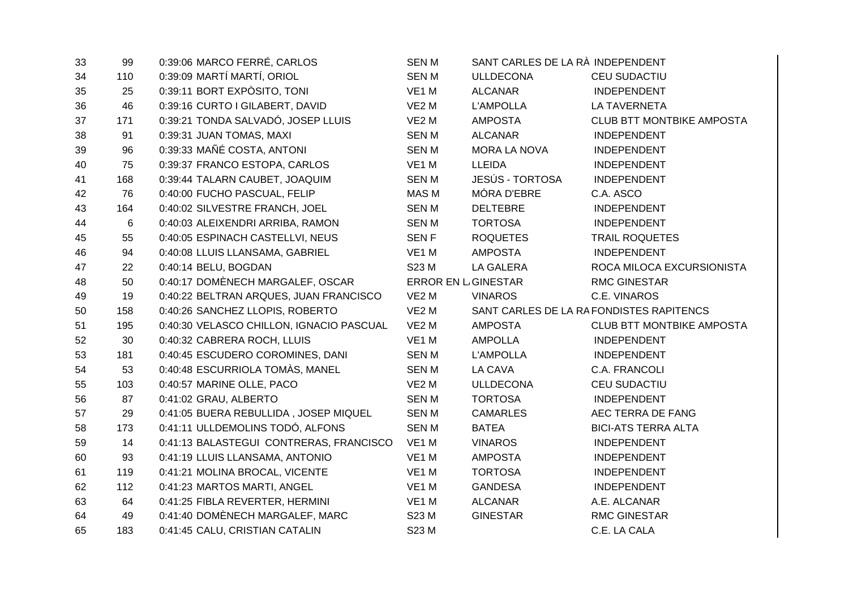| 99  | 0:39:06 MARCO FERRÉ, CARLOS              | <b>SENM</b>       | SANT CARLES DE LA RÀ INDEPENDENT |                                          |
|-----|------------------------------------------|-------------------|----------------------------------|------------------------------------------|
| 110 | 0:39:09 MARTÍ MARTÍ, ORIOL               | <b>SENM</b>       | <b>ULLDECONA</b>                 | <b>CEU SUDACTIU</b>                      |
| 25  | 0:39:11 BORT EXPOSITO, TONI              | VE1 M             | <b>ALCANAR</b>                   | <b>INDEPENDENT</b>                       |
| 46  | 0:39:16 CURTO I GILABERT, DAVID          | VE <sub>2</sub> M | <b>L'AMPOLLA</b>                 | <b>LA TAVERNETA</b>                      |
| 171 | 0:39:21 TONDA SALVADÓ, JOSEP LLUIS       | VE <sub>2</sub> M | <b>AMPOSTA</b>                   | <b>CLUB BTT MONTBIKE AMPOSTA</b>         |
| 91  | 0:39:31 JUAN TOMAS, MAXI                 | <b>SENM</b>       | <b>ALCANAR</b>                   | <b>INDEPENDENT</b>                       |
| 96  | 0:39:33 MAÑÉ COSTA, ANTONI               | <b>SENM</b>       | <b>MORA LA NOVA</b>              | <b>INDEPENDENT</b>                       |
| 75  | 0:39:37 FRANCO ESTOPA, CARLOS            | VE1 M             | <b>LLEIDA</b>                    | <b>INDEPENDENT</b>                       |
| 168 | 0:39:44 TALARN CAUBET, JOAQUIM           | <b>SENM</b>       | <b>JESÚS - TORTOSA</b>           | <b>INDEPENDENT</b>                       |
| 76  | 0:40:00 FUCHO PASCUAL, FELIP             | MAS M             | MÓRA D'EBRE                      | C.A. ASCO                                |
| 164 | 0:40:02 SILVESTRE FRANCH, JOEL           | <b>SENM</b>       | <b>DELTEBRE</b>                  | <b>INDEPENDENT</b>                       |
| 6   | 0:40:03 ALEIXENDRI ARRIBA, RAMON         | <b>SENM</b>       | <b>TORTOSA</b>                   | <b>INDEPENDENT</b>                       |
| 55  | 0:40:05 ESPINACH CASTELLVI, NEUS         | <b>SENF</b>       | <b>ROQUETES</b>                  | <b>TRAIL ROQUETES</b>                    |
| 94  | 0:40:08 LLUIS LLANSAMA, GABRIEL          | VE1 M             | <b>AMPOSTA</b>                   | <b>INDEPENDENT</b>                       |
| 22  | 0:40:14 BELU, BOGDAN                     | S23 M             | LA GALERA                        | ROCA MILOCA EXCURSIONISTA                |
| 50  | 0:40:17 DOMÈNECH MARGALEF, OSCAR         |                   |                                  | <b>RMC GINESTAR</b>                      |
| 19  | 0:40:22 BELTRAN ARQUES, JUAN FRANCISCO   | VE <sub>2</sub> M | <b>VINAROS</b>                   | C.E. VINAROS                             |
| 158 | 0:40:26 SANCHEZ LLOPIS, ROBERTO          | VE <sub>2</sub> M |                                  | SANT CARLES DE LA RA FONDISTES RAPITENCS |
| 195 | 0:40:30 VELASCO CHILLON, IGNACIO PASCUAL | VE <sub>2</sub> M | <b>AMPOSTA</b>                   | <b>CLUB BTT MONTBIKE AMPOSTA</b>         |
| 30  | 0:40:32 CABRERA ROCH, LLUIS              | VE1 M             | <b>AMPOLLA</b>                   | <b>INDEPENDENT</b>                       |
| 181 | 0:40:45 ESCUDERO COROMINES, DANI         | <b>SENM</b>       | <b>L'AMPOLLA</b>                 | <b>INDEPENDENT</b>                       |
| 53  | 0:40:48 ESCURRIOLA TOMÀS, MANEL          | <b>SENM</b>       | LA CAVA                          | C.A. FRANCOLI                            |
| 103 | 0:40:57 MARINE OLLE, PACO                | VE <sub>2</sub> M | <b>ULLDECONA</b>                 | CEU SUDACTIU                             |
| 87  | 0:41:02 GRAU, ALBERTO                    | <b>SENM</b>       | <b>TORTOSA</b>                   | <b>INDEPENDENT</b>                       |
| 29  | 0:41:05 BUERA REBULLIDA, JOSEP MIQUEL    | <b>SENM</b>       | <b>CAMARLES</b>                  | AEC TERRA DE FANG                        |
| 173 | 0:41:11 ULLDEMOLINS TODÓ, ALFONS         | <b>SENM</b>       | <b>BATEA</b>                     | <b>BICI-ATS TERRA ALTA</b>               |
| 14  | 0:41:13 BALASTEGUI CONTRERAS, FRANCISCO  | VE1 M             | <b>VINAROS</b>                   | <b>INDEPENDENT</b>                       |
| 93  | 0:41:19 LLUIS LLANSAMA, ANTONIO          | VE1 M             | <b>AMPOSTA</b>                   | <b>INDEPENDENT</b>                       |
| 119 | 0:41:21 MOLINA BROCAL, VICENTE           | VE1 M             | <b>TORTOSA</b>                   | <b>INDEPENDENT</b>                       |
| 112 | 0:41:23 MARTOS MARTI, ANGEL              | VE1 M             | <b>GANDESA</b>                   | <b>INDEPENDENT</b>                       |
| 64  | 0:41:25 FIBLA REVERTER, HERMINI          | VE1 M             | <b>ALCANAR</b>                   | A.E. ALCANAR                             |
| 49  | 0:41:40 DOMÈNECH MARGALEF, MARC          | S23 M             | <b>GINESTAR</b>                  | <b>RMC GINESTAR</b>                      |
| 183 | 0:41:45 CALU, CRISTIAN CATALIN           | S23 M             |                                  | C.E. LA CALA                             |
|     |                                          |                   |                                  | <b>ERROR EN L GINESTAR</b>               |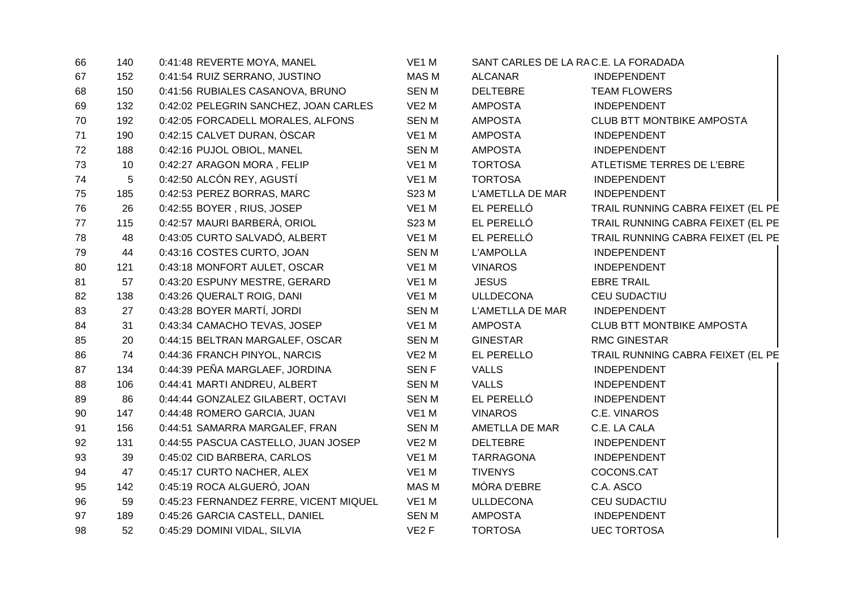| 66 | 140 | 0:41:48 REVERTE MOYA, MANEL            | VE1 M             |                  | SANT CARLES DE LA RAC.E. LA FORADADA |
|----|-----|----------------------------------------|-------------------|------------------|--------------------------------------|
| 67 | 152 | 0:41:54 RUIZ SERRANO, JUSTINO          | MAS M             | <b>ALCANAR</b>   | <b>INDEPENDENT</b>                   |
| 68 | 150 | 0:41:56 RUBIALES CASANOVA, BRUNO       | <b>SENM</b>       | <b>DELTEBRE</b>  | <b>TEAM FLOWERS</b>                  |
| 69 | 132 | 0:42:02 PELEGRIN SANCHEZ, JOAN CARLES  | VE <sub>2</sub> M | <b>AMPOSTA</b>   | INDEPENDENT                          |
| 70 | 192 | 0:42:05 FORCADELL MORALES, ALFONS      | <b>SENM</b>       | <b>AMPOSTA</b>   | <b>CLUB BTT MONTBIKE AMPOSTA</b>     |
| 71 | 190 | 0:42:15 CALVET DURAN, ÒSCAR            | VE1 M             | <b>AMPOSTA</b>   | INDEPENDENT                          |
| 72 | 188 | 0:42:16 PUJOL OBIOL, MANEL             | <b>SENM</b>       | <b>AMPOSTA</b>   | <b>INDEPENDENT</b>                   |
| 73 | 10  | 0:42:27 ARAGON MORA, FELIP             | VE1 M             | <b>TORTOSA</b>   | ATLETISME TERRES DE L'EBRE           |
| 74 | 5   | 0:42:50 ALCÓN REY, AGUSTÍ              | VE1 M             | <b>TORTOSA</b>   | INDEPENDENT                          |
| 75 | 185 | 0:42:53 PEREZ BORRAS, MARC             | S23 M             | L'AMETLLA DE MAR | <b>INDEPENDENT</b>                   |
| 76 | 26  | 0:42:55 BOYER, RIUS, JOSEP             | VE1 M             | EL PERELLÓ       | TRAIL RUNNING CABRA FEIXET (EL PE    |
| 77 | 115 | 0:42:57 MAURI BARBERÀ, ORIOL           | S23 M             | EL PERELLÓ       | TRAIL RUNNING CABRA FEIXET (EL PE    |
| 78 | 48  | 0:43:05 CURTO SALVADÓ, ALBERT          | VE1 M             | EL PERELLÓ       | TRAIL RUNNING CABRA FEIXET (EL PE    |
| 79 | 44  | 0:43:16 COSTES CURTO, JOAN             | <b>SENM</b>       | <b>L'AMPOLLA</b> | <b>INDEPENDENT</b>                   |
| 80 | 121 | 0:43:18 MONFORT AULET, OSCAR           | VE1 M             | <b>VINAROS</b>   | INDEPENDENT                          |
| 81 | 57  | 0:43:20 ESPUNY MESTRE, GERARD          | VE1 M             | <b>JESUS</b>     | <b>EBRE TRAIL</b>                    |
| 82 | 138 | 0:43:26 QUERALT ROIG, DANI             | VE1 M             | <b>ULLDECONA</b> | <b>CEU SUDACTIU</b>                  |
| 83 | 27  | 0:43:28 BOYER MARTÍ, JORDI             | <b>SENM</b>       | L'AMETLLA DE MAR | INDEPENDENT                          |
| 84 | 31  | 0:43:34 CAMACHO TEVAS, JOSEP           | VE1 M             | <b>AMPOSTA</b>   | <b>CLUB BTT MONTBIKE AMPOSTA</b>     |
| 85 | 20  | 0:44:15 BELTRAN MARGALEF, OSCAR        | <b>SENM</b>       | <b>GINESTAR</b>  | <b>RMC GINESTAR</b>                  |
| 86 | 74  | 0:44:36 FRANCH PINYOL, NARCIS          | VE <sub>2</sub> M | EL PERELLO       | TRAIL RUNNING CABRA FEIXET (EL PE    |
| 87 | 134 | 0:44:39 PEÑA MARGLAEF, JORDINA         | <b>SENF</b>       | <b>VALLS</b>     | INDEPENDENT                          |
| 88 | 106 | 0:44:41 MARTI ANDREU, ALBERT           | <b>SENM</b>       | <b>VALLS</b>     | <b>INDEPENDENT</b>                   |
| 89 | 86  | 0:44:44 GONZALEZ GILABERT, OCTAVI      | <b>SENM</b>       | EL PERELLÓ       | <b>INDEPENDENT</b>                   |
| 90 | 147 | 0:44:48 ROMERO GARCIA, JUAN            | VE1 M             | <b>VINAROS</b>   | C.E. VINAROS                         |
| 91 | 156 | 0:44:51 SAMARRA MARGALEF, FRAN         | <b>SENM</b>       | AMETLLA DE MAR   | C.E. LA CALA                         |
| 92 | 131 | 0:44:55 PASCUA CASTELLO, JUAN JOSEP    | VE <sub>2</sub> M | <b>DELTEBRE</b>  | <b>INDEPENDENT</b>                   |
| 93 | 39  | 0:45:02 CID BARBERA, CARLOS            | VE1 M             | <b>TARRAGONA</b> | <b>INDEPENDENT</b>                   |
| 94 | 47  | 0:45:17 CURTO NACHER, ALEX             | VE1 M             | <b>TIVENYS</b>   | COCONS.CAT                           |
| 95 | 142 | 0:45:19 ROCA ALGUERÓ, JOAN             | MAS M             | MÓRA D'EBRE      | C.A. ASCO                            |
| 96 | 59  | 0:45:23 FERNANDEZ FERRE, VICENT MIQUEL | VE1 M             | <b>ULLDECONA</b> | CEU SUDACTIU                         |
| 97 | 189 | 0:45:26 GARCIA CASTELL, DANIEL         | <b>SENM</b>       | <b>AMPOSTA</b>   | INDEPENDENT                          |
| 98 | 52  | 0:45:29 DOMINI VIDAL, SILVIA           | VE <sub>2</sub> F | <b>TORTOSA</b>   | <b>UEC TORTOSA</b>                   |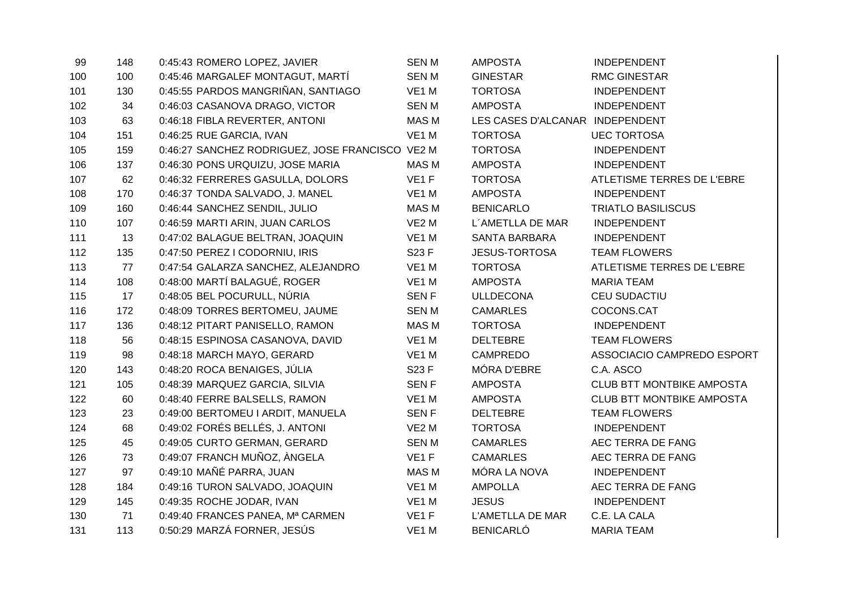| 99  | 148 | 0:45:43 ROMERO LOPEZ, JAVIER                    | <b>SENM</b>       | <b>AMPOSTA</b>                  | <b>INDEPENDENT</b>               |
|-----|-----|-------------------------------------------------|-------------------|---------------------------------|----------------------------------|
| 100 | 100 | 0:45:46 MARGALEF MONTAGUT, MARTÍ                | <b>SENM</b>       | <b>GINESTAR</b>                 | <b>RMC GINESTAR</b>              |
| 101 | 130 | 0:45:55 PARDOS MANGRIÑAN, SANTIAGO              | VE1 M             | <b>TORTOSA</b>                  | <b>INDEPENDENT</b>               |
| 102 | 34  | 0:46:03 CASANOVA DRAGO, VICTOR                  | <b>SENM</b>       | <b>AMPOSTA</b>                  | <b>INDEPENDENT</b>               |
| 103 | 63  | 0:46:18 FIBLA REVERTER, ANTONI                  | <b>MAS M</b>      | LES CASES D'ALCANAR INDEPENDENT |                                  |
| 104 | 151 | 0:46:25 RUE GARCIA, IVAN                        | VE1 M             | <b>TORTOSA</b>                  | <b>UEC TORTOSA</b>               |
| 105 | 159 | 0:46:27 SANCHEZ RODRIGUEZ, JOSE FRANCISCO VE2 M |                   | <b>TORTOSA</b>                  | <b>INDEPENDENT</b>               |
| 106 | 137 | 0:46:30 PONS URQUIZU, JOSE MARIA                | <b>MAS M</b>      | <b>AMPOSTA</b>                  | <b>INDEPENDENT</b>               |
| 107 | 62  | 0:46:32 FERRERES GASULLA, DOLORS                | VE1F              | <b>TORTOSA</b>                  | ATLETISME TERRES DE L'EBRE       |
| 108 | 170 | 0:46:37 TONDA SALVADO, J. MANEL                 | VE1 M             | <b>AMPOSTA</b>                  | <b>INDEPENDENT</b>               |
| 109 | 160 | 0:46:44 SANCHEZ SENDIL, JULIO                   | <b>MAS M</b>      | <b>BENICARLO</b>                | <b>TRIATLO BASILISCUS</b>        |
| 110 | 107 | 0:46:59 MARTI ARIN, JUAN CARLOS                 | VE <sub>2</sub> M | L'AMETLLA DE MAR                | <b>INDEPENDENT</b>               |
| 111 | 13  | 0:47:02 BALAGUE BELTRAN, JOAQUIN                | VE1 M             | SANTA BARBARA                   | <b>INDEPENDENT</b>               |
| 112 | 135 | 0:47:50 PEREZ I CODORNIU, IRIS                  | S23 F             | <b>JESUS-TORTOSA</b>            | <b>TEAM FLOWERS</b>              |
| 113 | 77  | 0:47:54 GALARZA SANCHEZ, ALEJANDRO              | VE1 M             | <b>TORTOSA</b>                  | ATLETISME TERRES DE L'EBRE       |
| 114 | 108 | 0:48:00 MARTÍ BALAGUÉ, ROGER                    | VE1 M             | <b>AMPOSTA</b>                  | <b>MARIA TEAM</b>                |
| 115 | 17  | 0:48:05 BEL POCURULL, NÚRIA                     | <b>SENF</b>       | ULLDECONA                       | CEU SUDACTIU                     |
| 116 | 172 | 0:48:09 TORRES BERTOMEU, JAUME                  | <b>SENM</b>       | <b>CAMARLES</b>                 | COCONS.CAT                       |
| 117 | 136 | 0:48:12 PITART PANISELLO, RAMON                 | <b>MAS M</b>      | <b>TORTOSA</b>                  | <b>INDEPENDENT</b>               |
| 118 | 56  | 0:48:15 ESPINOSA CASANOVA, DAVID                | VE1 M             | <b>DELTEBRE</b>                 | <b>TEAM FLOWERS</b>              |
| 119 | 98  | 0:48:18 MARCH MAYO, GERARD                      | VE1 M             | <b>CAMPREDO</b>                 | ASSOCIACIO CAMPREDO ESPORT       |
| 120 | 143 | 0:48:20 ROCA BENAIGES, JÚLIA                    | S23 F             | MÓRA D'EBRE                     | C.A. ASCO                        |
| 121 | 105 | 0:48:39 MARQUEZ GARCIA, SILVIA                  | <b>SENF</b>       | <b>AMPOSTA</b>                  | <b>CLUB BTT MONTBIKE AMPOSTA</b> |
| 122 | 60  | 0:48:40 FERRE BALSELLS, RAMON                   | VE1 M             | <b>AMPOSTA</b>                  | <b>CLUB BTT MONTBIKE AMPOSTA</b> |
| 123 | 23  | 0:49:00 BERTOMEU I ARDIT, MANUELA               | <b>SENF</b>       | <b>DELTEBRE</b>                 | <b>TEAM FLOWERS</b>              |
| 124 | 68  | 0:49:02 FORÉS BELLÉS, J. ANTONI                 | VE <sub>2</sub> M | <b>TORTOSA</b>                  | <b>INDEPENDENT</b>               |
| 125 | 45  | 0:49:05 CURTO GERMAN, GERARD                    | <b>SENM</b>       | <b>CAMARLES</b>                 | AEC TERRA DE FANG                |
| 126 | 73  | 0:49:07 FRANCH MUÑOZ, ÀNGELA                    | VE <sub>1</sub> F | <b>CAMARLES</b>                 | AEC TERRA DE FANG                |
| 127 | 97  | 0:49:10 MAÑÉ PARRA, JUAN                        | <b>MAS M</b>      | MÓRA LA NOVA                    | <b>INDEPENDENT</b>               |
| 128 | 184 | 0:49:16 TURON SALVADO, JOAQUIN                  | VE1 M             | <b>AMPOLLA</b>                  | AEC TERRA DE FANG                |
| 129 | 145 | 0:49:35 ROCHE JODAR, IVAN                       | VE1 M             | <b>JESUS</b>                    | <b>INDEPENDENT</b>               |
| 130 | 71  | 0:49:40 FRANCES PANEA, Mª CARMEN                | VE <sub>1</sub> F | L'AMETLLA DE MAR                | C.E. LA CALA                     |
| 131 | 113 | 0:50:29 MARZÁ FORNER, JESÚS                     | VE <sub>1</sub> M | <b>BENICARLÓ</b>                | <b>MARIA TEAM</b>                |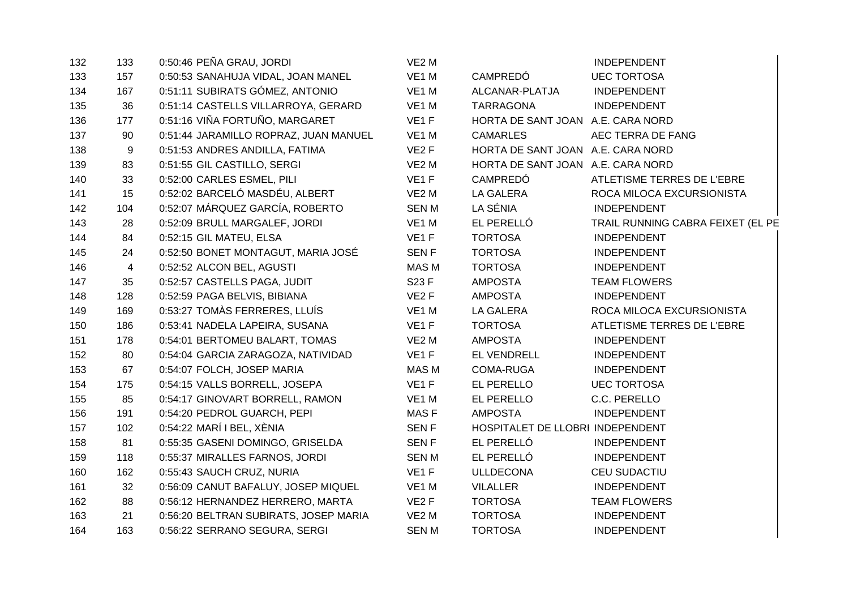| 132 | 133 | 0:50:46 PEÑA GRAU, JORDI              | VE <sub>2</sub> M |                                   | <b>INDEPENDENT</b>                |
|-----|-----|---------------------------------------|-------------------|-----------------------------------|-----------------------------------|
| 133 | 157 | 0:50:53 SANAHUJA VIDAL, JOAN MANEL    | VE1 M             | <b>CAMPREDÓ</b>                   | <b>UEC TORTOSA</b>                |
| 134 | 167 | 0:51:11 SUBIRATS GÓMEZ, ANTONIO       | VE1 M             | ALCANAR-PLATJA                    | <b>INDEPENDENT</b>                |
| 135 | 36  | 0:51:14 CASTELLS VILLARROYA, GERARD   | VE1 M             | <b>TARRAGONA</b>                  | <b>INDEPENDENT</b>                |
| 136 | 177 | 0:51:16 VIÑA FORTUÑO, MARGARET        | VE <sub>1</sub> F | HORTA DE SANT JOAN A.E. CARA NORD |                                   |
| 137 | 90  | 0:51:44 JARAMILLO ROPRAZ, JUAN MANUEL | VE <sub>1</sub> M | <b>CAMARLES</b>                   | AEC TERRA DE FANG                 |
| 138 | 9   | 0:51:53 ANDRES ANDILLA, FATIMA        | VE <sub>2</sub> F | HORTA DE SANT JOAN A.E. CARA NORD |                                   |
| 139 | 83  | 0:51:55 GIL CASTILLO, SERGI           | VE <sub>2</sub> M | HORTA DE SANT JOAN A.E. CARA NORD |                                   |
| 140 | 33  | 0:52:00 CARLES ESMEL, PILI            | VE <sub>1</sub> F | CAMPREDÓ                          | ATLETISME TERRES DE L'EBRE        |
| 141 | 15  | 0:52:02 BARCELÓ MASDÉU, ALBERT        | VE <sub>2</sub> M | LA GALERA                         | ROCA MILOCA EXCURSIONISTA         |
| 142 | 104 | 0:52:07 MÁRQUEZ GARCÍA, ROBERTO       | <b>SENM</b>       | LA SÉNIA                          | <b>INDEPENDENT</b>                |
| 143 | 28  | 0:52:09 BRULL MARGALEF, JORDI         | VE1 M             | EL PERELLÓ                        | TRAIL RUNNING CABRA FEIXET (EL PE |
| 144 | 84  | 0:52:15 GIL MATEU, ELSA               | VE <sub>1</sub> F | <b>TORTOSA</b>                    | <b>INDEPENDENT</b>                |
| 145 | 24  | 0:52:50 BONET MONTAGUT, MARIA JOSÉ    | <b>SENF</b>       | <b>TORTOSA</b>                    | <b>INDEPENDENT</b>                |
| 146 | 4   | 0:52:52 ALCON BEL, AGUSTI             | MAS M             | <b>TORTOSA</b>                    | <b>INDEPENDENT</b>                |
| 147 | 35  | 0:52:57 CASTELLS PAGA, JUDIT          | S23 F             | <b>AMPOSTA</b>                    | <b>TEAM FLOWERS</b>               |
| 148 | 128 | 0:52:59 PAGA BELVIS, BIBIANA          | VE <sub>2</sub> F | AMPOSTA                           | <b>INDEPENDENT</b>                |
| 149 | 169 | 0:53:27 TOMAS FERRERES, LLUÍS         | VE1 M             | LA GALERA                         | ROCA MILOCA EXCURSIONISTA         |
| 150 | 186 | 0:53:41 NADELA LAPEIRA, SUSANA        | VE <sub>1</sub> F | <b>TORTOSA</b>                    | ATLETISME TERRES DE L'EBRE        |
| 151 | 178 | 0:54:01 BERTOMEU BALART, TOMAS        | VE <sub>2</sub> M | <b>AMPOSTA</b>                    | <b>INDEPENDENT</b>                |
| 152 | 80  | 0:54:04 GARCIA ZARAGOZA, NATIVIDAD    | VE <sub>1</sub> F | EL VENDRELL                       | <b>INDEPENDENT</b>                |
| 153 | 67  | 0:54:07 FOLCH, JOSEP MARIA            | <b>MAS M</b>      | <b>COMA-RUGA</b>                  | <b>INDEPENDENT</b>                |
| 154 | 175 | 0:54:15 VALLS BORRELL, JOSEPA         | VE1F              | EL PERELLO                        | <b>UEC TORTOSA</b>                |
| 155 | 85  | 0:54:17 GINOVART BORRELL, RAMON       | VE <sub>1</sub> M | EL PERELLO                        | C.C. PERELLO                      |
| 156 | 191 | 0:54:20 PEDROL GUARCH, PEPI           | MAS F             | <b>AMPOSTA</b>                    | <b>INDEPENDENT</b>                |
| 157 | 102 | 0:54:22 MARÍ I BEL, XÈNIA             | SEN <sub>F</sub>  | HOSPITALET DE LLOBRI INDEPENDENT  |                                   |
| 158 | 81  | 0:55:35 GASENI DOMINGO, GRISELDA      | <b>SENF</b>       | EL PERELLÓ                        | <b>INDEPENDENT</b>                |
| 159 | 118 | 0:55:37 MIRALLES FARNOS, JORDI        | <b>SENM</b>       | EL PERELLÓ                        | <b>INDEPENDENT</b>                |
| 160 | 162 | 0:55:43 SAUCH CRUZ, NURIA             | VE <sub>1</sub> F | <b>ULLDECONA</b>                  | <b>CEU SUDACTIU</b>               |
| 161 | 32  | 0:56:09 CANUT BAFALUY, JOSEP MIQUEL   | VE1 M             | <b>VILALLER</b>                   | <b>INDEPENDENT</b>                |
| 162 | 88  | 0:56:12 HERNANDEZ HERRERO, MARTA      | VE <sub>2</sub> F | <b>TORTOSA</b>                    | <b>TEAM FLOWERS</b>               |
| 163 | 21  | 0:56:20 BELTRAN SUBIRATS, JOSEP MARIA | VE <sub>2</sub> M | <b>TORTOSA</b>                    | INDEPENDENT                       |
| 164 | 163 | 0:56:22 SERRANO SEGURA, SERGI         | <b>SENM</b>       | <b>TORTOSA</b>                    | <b>INDEPENDENT</b>                |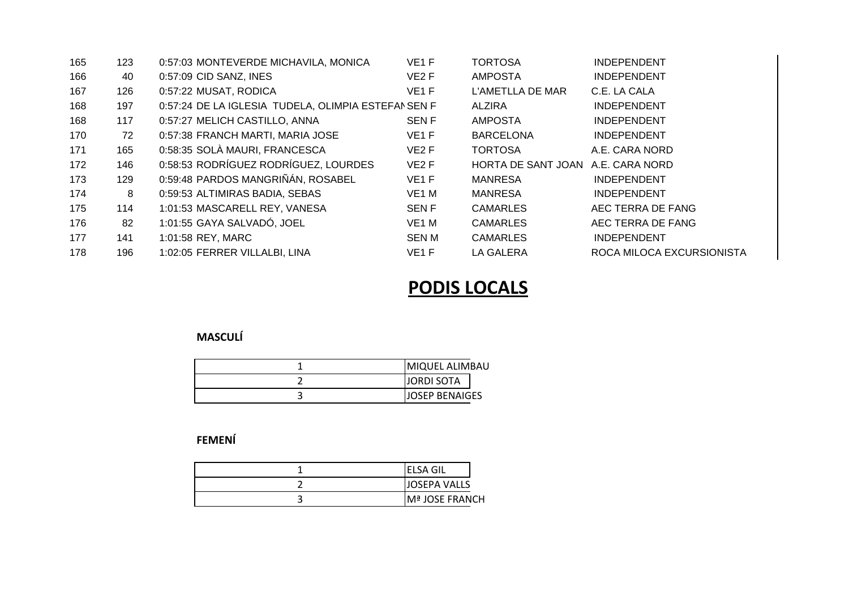| 165 | 123 | 0:57:03 MONTEVERDE MICHAVILA, MONICA               | VE <sub>1</sub> F | <b>TORTOSA</b>                    | <b>INDEPENDENT</b>        |
|-----|-----|----------------------------------------------------|-------------------|-----------------------------------|---------------------------|
| 166 | 40  | 0:57:09 CID SANZ, INES                             | VE <sub>2</sub> F | <b>AMPOSTA</b>                    | <b>INDEPENDENT</b>        |
| 167 | 126 | 0:57:22 MUSAT, RODICA                              | VE <sub>1</sub> F | L'AMETLLA DE MAR                  | C.E. LA CALA              |
| 168 | 197 | 0:57:24 DE LA IGLESIA TUDELA, OLIMPIA ESTEFANSEN F |                   | <b>ALZIRA</b>                     | <b>INDEPENDENT</b>        |
| 168 | 117 | 0:57:27 MELICH CASTILLO, ANNA                      | <b>SENF</b>       | <b>AMPOSTA</b>                    | <b>INDEPENDENT</b>        |
| 170 | 72  | 0:57:38 FRANCH MARTI, MARIA JOSE                   | VE <sub>1</sub> F | <b>BARCELONA</b>                  | <b>INDEPENDENT</b>        |
| 171 | 165 | 0:58:35 SOLÀ MAURI, FRANCESCA                      | VE <sub>2</sub> F | <b>TORTOSA</b>                    | A.E. CARA NORD            |
| 172 | 146 | 0:58:53 RODRÍGUEZ RODRÍGUEZ, LOURDES               | VE <sub>2</sub> F | HORTA DE SANT JOAN A.E. CARA NORD |                           |
| 173 | 129 | 0:59:48 PARDOS MANGRIÑÁN, ROSABEL                  | VE <sub>1</sub> F | <b>MANRESA</b>                    | <b>INDEPENDENT</b>        |
| 174 | 8   | 0:59:53 ALTIMIRAS BADIA, SEBAS                     | VE <sub>1</sub> M | <b>MANRESA</b>                    | <b>INDEPENDENT</b>        |
| 175 | 114 | 1:01:53 MASCARELL REY, VANESA                      | <b>SENF</b>       | <b>CAMARLES</b>                   | AEC TERRA DE FANG         |
| 176 | 82  | 1:01:55 GAYA SALVADÓ, JOEL                         | VE <sub>1</sub> M | <b>CAMARLES</b>                   | AEC TERRA DE FANG         |
| 177 | 141 | 1:01:58 REY, MARC                                  | SEN M             | <b>CAMARLES</b>                   | <b>INDEPENDENT</b>        |
| 178 | 196 | 1:02:05 FERRER VILLALBI, LINA                      | VE <sub>1</sub> F | <b>LA GALERA</b>                  | ROCA MILOCA EXCURSIONISTA |

## **PODIS LOCALS**

## **MASCULÍ**

| <b>MIQUEL ALIMBAU</b> |
|-----------------------|
| <b>JORDI SOTA</b>     |
| lJOSEP BENAIGES       |

## **FEMENÍ**

| <b>ELSA GIL</b>     |
|---------------------|
| <b>JOSEPA VALLS</b> |
| Mª JOSE FRANCH      |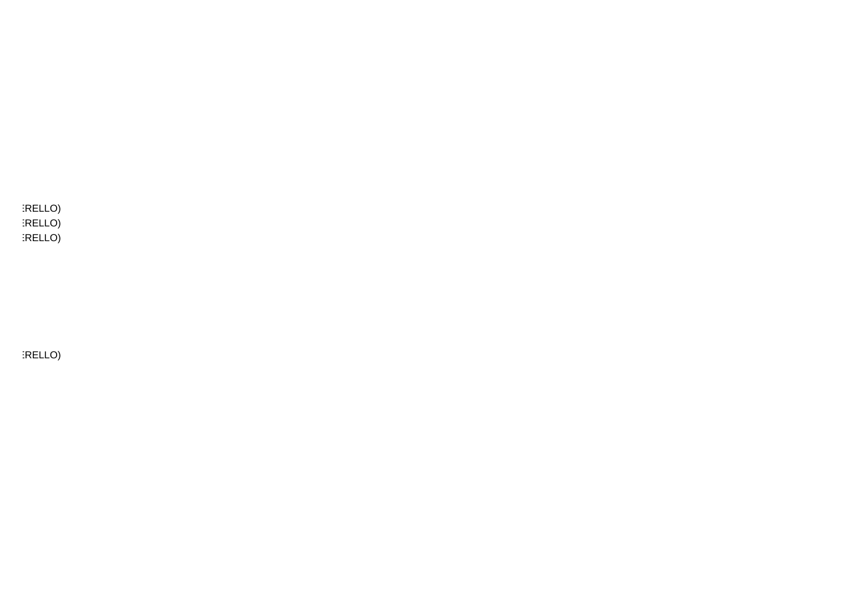$IRELLO$ **TRELLO TRELLO** 

RELLO)